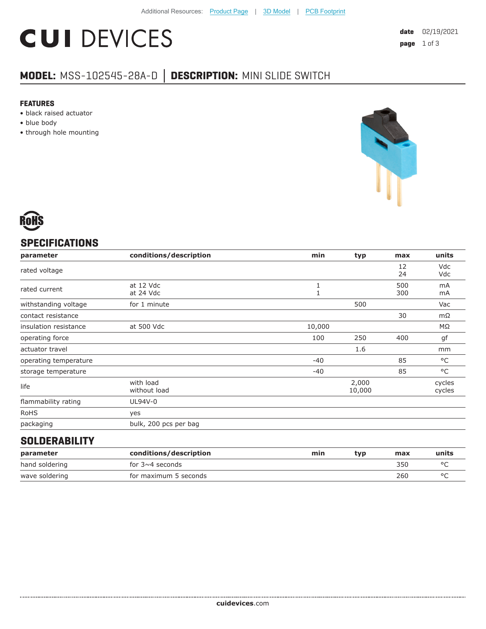# **CUI DEVICES**

### **MODEL:** MSS-102545-28A-D **│ DESCRIPTION:** MINI SLIDE SWITCH

#### **FEATURES**

- black raised actuator
- blue body
- through hole mounting



### **SPECIFICATIONS**

| parameter             | conditions/description    | min    | typ             | max        | units                |
|-----------------------|---------------------------|--------|-----------------|------------|----------------------|
| rated voltage         |                           |        |                 | 12<br>24   | Vdc<br>Vdc           |
| rated current         | at 12 Vdc<br>at 24 Vdc    |        |                 | 500<br>300 | m <sub>A</sub><br>mA |
| withstanding voltage  | for 1 minute              |        | 500             |            | Vac                  |
| contact resistance    |                           |        |                 | 30         | $m\Omega$            |
| insulation resistance | at 500 Vdc                | 10,000 |                 |            | ΜΩ                   |
| operating force       |                           | 100    | 250             | 400        | gf                   |
| actuator travel       |                           |        | 1.6             |            | mm                   |
| operating temperature |                           | $-40$  |                 | 85         | °C                   |
| storage temperature   |                           | -40    |                 | 85         | $^{\circ}$ C         |
| life                  | with load<br>without load |        | 2,000<br>10,000 |            | cycles<br>cycles     |
| flammability rating   | UL94V-0                   |        |                 |            |                      |
| <b>RoHS</b>           | yes                       |        |                 |            |                      |
| packaging             | bulk, 200 pcs per bag     |        |                 |            |                      |

#### **SOLDERABILITY**

| parameter      | conditions/description | min | tvp | max | units |
|----------------|------------------------|-----|-----|-----|-------|
| hand soldering | for 3 $\sim$ 4 seconds |     |     | 350 |       |
| wave soldering | for maximum 5 seconds  |     |     | 260 |       |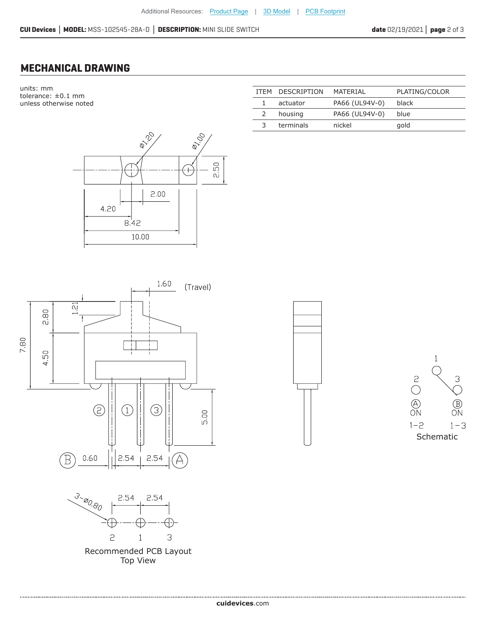#### **MECHANICAL DRAWING**

units: mm tolerance: ±0.1 mm unless otherwise noted



|      |      |      |                 |                                    | 1.60 | (Travel) |
|------|------|------|-----------------|------------------------------------|------|----------|
|      | 2.80 | 1.21 |                 |                                    |      |          |
| 7.80 | 4,50 |      |                 | T                                  |      |          |
|      |      |      | <u>(5)</u><br>r | $\left(1\right)$<br>$\blacksquare$ | 3    | 5.00     |
|      |      |      | 0.60            | 2.54                               | 2.54 |          |



..................................

Recommended PCB Layout Top View

|               | ITEM DESCRIPTION | MATERIAI       | PLATING/COLOR |
|---------------|------------------|----------------|---------------|
|               | actuator         | PA66 (UL94V-0) | black         |
| $\mathcal{L}$ | housing          | PA66 (UL94V-0) | blue          |
| 3             | terminals        | nickel         | gold          |
|               |                  |                |               |